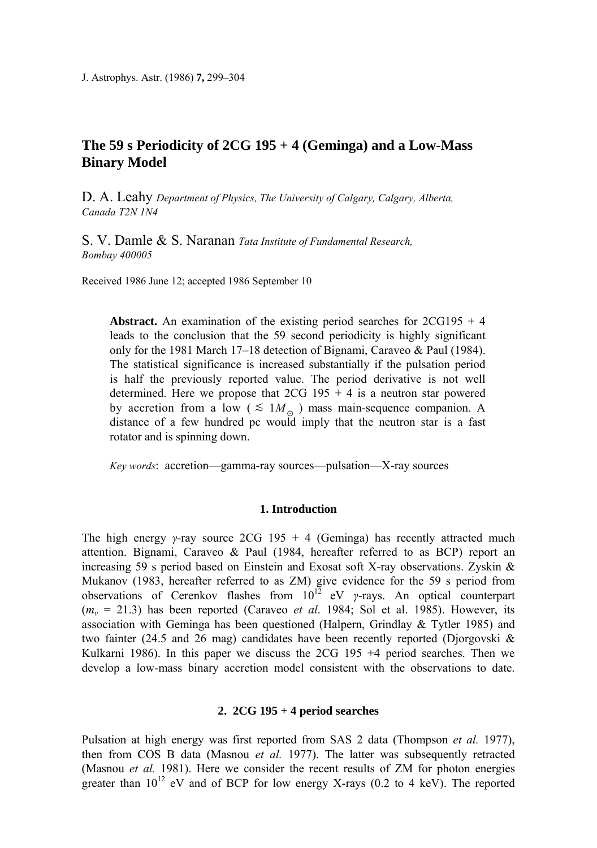# **The 59 s Periodicity of 2CG 195 + 4 (Geminga) and a Low-Mass Binary Model**

D. A. Leahy *Department of Physics, The University of Calgary, Calgary, Alberta, Canada T2N 1N4* 

S. V. Damle & S. Naranan *Tata Institute of Fundamental Research, Bombay 400005* 

Received 1986 June 12; accepted 1986 September 10

**Abstract.** An examination of the existing period searches for  $2CG195 + 4$ leads to the conclusion that the 59 second periodicity is highly significant only for the 1981 March 17–18 detection of Bignami, Caraveo & Paul (1984). The statistical significance is increased substantially if the pulsation period is half the previously reported value. The period derivative is not well determined. Here we propose that  $2CG$  195 + 4 is a neutron star powered by accretion from a low ( $\leq 1 M_{\odot}$ ) mass main-sequence companion. A distance of a few hundred pc would imply that the neutron star is a fast rotator and is spinning down.

*Key words*: accretion—gamma-ray sources—pulsation—X-ray sources

## **1. Introduction**

The high energy *γ*-ray source 2CG 195 + 4 (Geminga) has recently attracted much attention. Bignami, Caraveo & Paul (1984, hereafter referred to as BCP) report an increasing 59 s period based on Einstein and Exosat soft X-ray observations. Zyskin & Mukanov (1983, hereafter referred to as ZM) give evidence for the 59 s period from observations of Cerenkov flashes from  $10^{12}$  eV *γ*-rays. An optical counterpart  $(m_v = 21.3)$  has been reported (Caraveo *et al.* 1984; Sol et al. 1985). However, its association with Geminga has been questioned (Halpern, Grindlay & Tytler 1985) and two fainter (24.5 and 26 mag) candidates have been recently reported (Djorgovski & Kulkarni 1986). In this paper we discuss the  $2CG$  195  $+4$  period searches. Then we develop a low-mass binary accretion model consistent with the observations to date.

# **2. 2CG 195 + 4 period searches**

Pulsation at high energy was first reported from SAS 2 data (Thompson *et al.* 1977), then from COS Β data (Masnou *et al.* 1977). The latter was subsequently retracted (Masnou *et al.* 1981). Here we consider the recent results of ZM for photon energies greater than  $10^{12}$  eV and of BCP for low energy X-rays (0.2 to 4 keV). The reported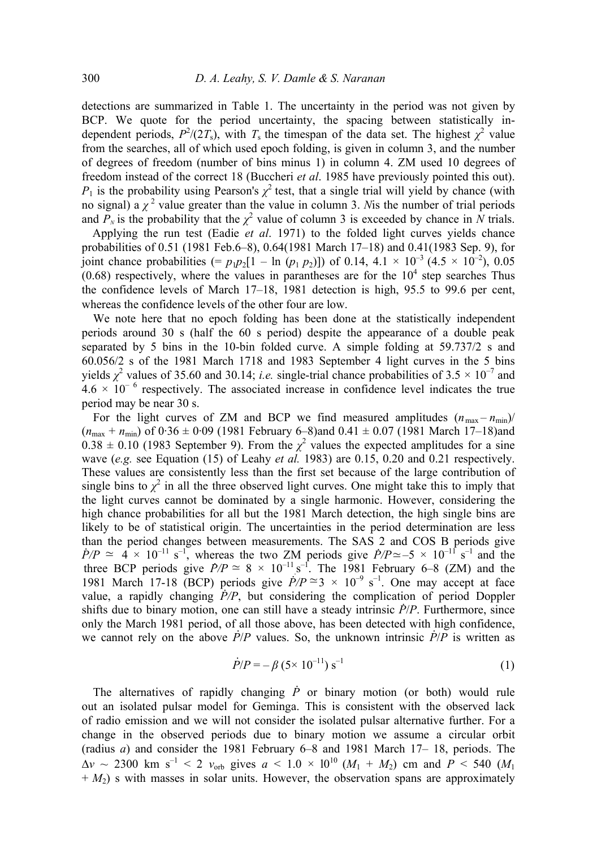detections are summarized in Table 1. The uncertainty in the period was not given by BCP. We quote for the period uncertainty, the spacing between statistically independent periods,  $P^2/(2T_s)$ , with  $T_s$  the timespan of the data set. The highest  $\chi^2$  value from the searches, all of which used epoch folding, is given in column 3, and the number of degrees of freedom (number of bins minus 1) in column 4. ZM used 10 degrees of freedom instead of the correct 18 (Buccheri *et al*. 1985 have previously pointed this out).  $P_1$  is the probability using Pearson's  $\chi^2$  test, that a single trial will yield by chance (with no signal) a  $\chi^2$  value greater than the value in column 3. *N*is the number of trial periods and  $P_N$  is the probability that the  $\chi^2$  value of column 3 is exceeded by chance in *N* trials.

 Applying the run test (Eadie *et al*. 1971) to the folded light curves yields chance probabilities of 0.51 (1981 Feb.6–8), 0.64(1981 March 17–18) and 0.41(1983 Sep. 9), for joint chance probabilities (=  $p_1p_2[1 - \ln (p_1 p_2)]$ ) of 0.14, 4.1 × 10<sup>-3</sup> (4.5 × 10<sup>-2</sup>), 0.05  $(0.68)$  respectively, where the values in parantheses are for the  $10<sup>4</sup>$  step searches Thus the confidence levels of March 17–18, 1981 detection is high, 95.5 to 99.6 per cent, whereas the confidence levels of the other four are low.

We note here that no epoch folding has been done at the statistically independent periods around 30 s (half the 60 s period) despite the appearance of a double peak separated by 5 bins in the 10-bin folded curve. Α simple folding at 59.737/2 s and 60.056/2 s of the 1981 March 1718 and 1983 September 4 light curves in the 5 bins yields  $\chi^2$  values of 35.60 and 30.14; *i.e.* single-trial chance probabilities of 3.5  $\times$  10<sup>-7</sup> and  $4.6 \times 10^{-6}$  respectively. The associated increase in confidence level indicates the true period may be near 30 s.

For the light curves of ZM and BCP we find measured amplitudes  $(n_{\text{max}} - n_{\text{min}})$  $(n_{\text{max}} + n_{\text{min}})$  of  $0.36 \pm 0.09$  (1981 February 6–8)and  $0.41 \pm 0.07$  (1981 March 17–18)and  $0.38 \pm 0.10$  (1983 September 9). From the  $\chi^2$  values the expected amplitudes for a sine wave (*e.g.* see Equation (15) of Leahy *et al.* 1983) are 0.15, 0.20 and 0.21 respectively. These values are consistently less than the first set because of the large contribution of single bins to  $\chi^2$  in all the three observed light curves. One might take this to imply that the light curves cannot be dominated by a single harmonic. However, considering the high chance probabilities for all but the 1981 March detection, the high single bins are likely to be of statistical origin. The uncertainties in the period determination are less than the period changes between measurements. The SAS 2 and COS Β periods give  $\dot{P}/P \simeq 4 \times 10^{-11} \text{ s}^{-1}$ , whereas the two ZM periods give  $\dot{P}/P \simeq -5 \times 10^{-11} \text{ s}^{-1}$  and the three BCP periods give  $\dot{P}/P \approx 8 \times 10^{-11} \text{ s}^{-1}$ . The 1981 February 6–8 (ZM) and the 1981 March 17-18 (BCP) periods give  $P/P \cong 3 \times 10^{-9}$  s<sup>-1</sup>. One may accept at face value, a rapidly changing  $\dot{P}/P$ , but considering the complication of period Doppler shifts due to binary motion, one can still have a steady intrinsic *P*/*P*. Furthermore, since only the March 1981 period, of all those above, has been detected with high confidence, . . we cannot rely on the above  $\dot{P}/P$  values. So, the unknown intrinsic  $\dot{P}/P$  is written as  $\approx 8 \times 10^{-11}$ 

$$
\dot{P}/P = -\beta (5 \times 10^{-11}) \,\mathrm{s}^{-1} \tag{1}
$$

The alternatives of rapidly changing  $\dot{P}$  or binary motion (or both) would rule out an isolated pulsar model for Geminga. This is consistent with the observed lack of radio emission and we will not consider the isolated pulsar alternative further. For a change in the observed periods due to binary motion we assume a circular orbit (radius *a*) and consider the 1981 February 6–8 and 1981 March 17– 18, periods. The  $\Delta v \sim 2300$  km s<sup>-1</sup> < 2  $v_{\rm orb}$  gives  $a \le 1.0 \times 10^{10}$  ( $M_1 + M_2$ ) cm and  $P \le 540$  ( $M_1$ + *Μ*2) s with masses in solar units. However, the observation spans are approximately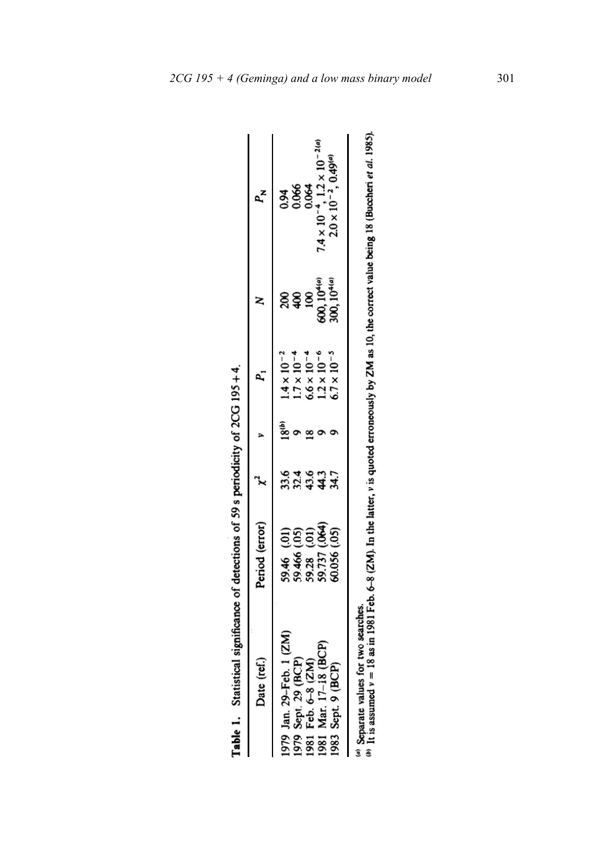| Table 1. Statistical significance of detections of 59 s periodicity of 2CG 195+4.                                                 |                                                                             |                 |       |                                                                                                                            |                                                                                          |                                                                                                                            |
|-----------------------------------------------------------------------------------------------------------------------------------|-----------------------------------------------------------------------------|-----------------|-------|----------------------------------------------------------------------------------------------------------------------------|------------------------------------------------------------------------------------------|----------------------------------------------------------------------------------------------------------------------------|
| Date (ref.)                                                                                                                       | Period (error)                                                              |                 |       |                                                                                                                            |                                                                                          | $P_{\mathbf{X}}$                                                                                                           |
| 1 (ZM)<br>(BCP)<br>Jan. 29-Feb. 1 (<br>Sept. 29 (BCP)<br>Feb. 6-8 (ZM)<br>Mar. 17-18 (BC<br>Sept. 9 (BCP)<br>1979<br>1979<br>1982 | 59.46 (.01)<br>59.466 (.05)<br>59.28 (.01)<br>59.737 (.064)<br>60.056 (.05) | 324442<br>32442 | (918) | $1.4 \times 10^{-2}$<br>1.7 × 10 <sup>-4</sup><br>6.6 × 10 <sup>-4</sup><br>1.2 × 10 <sup>-6</sup><br>$5.7 \times 10^{-5}$ | 200<br>400<br>600, 10 <sup>449</sup><br>600, 10 <sup>449</sup><br>300, 10 <sup>449</sup> | 0.94<br>0.066<br>0.064<br>7.4 × 10 <sup>-4</sup> , 1.2 × 10 <sup>-21</sup><br>2.0 × 10 <sup>-2</sup> , 0.49 <sup>(a)</sup> |
|                                                                                                                                   |                                                                             |                 |       |                                                                                                                            |                                                                                          |                                                                                                                            |

| - 201 - 201            |
|------------------------|
|                        |
|                        |
|                        |
|                        |
| ֦                      |
|                        |
|                        |
|                        |
|                        |
|                        |
|                        |
| <b>CO a marindinir</b> |
|                        |
|                        |
|                        |
|                        |
|                        |
|                        |
| datact: an             |
| j                      |
|                        |
|                        |
| ---------              |
|                        |
|                        |
|                        |
|                        |
|                        |
|                        |
|                        |
| tatistica              |
|                        |
|                        |
| ble 1.                 |
|                        |
|                        |

<sup>(a)</sup> Separate values for two searches.<br>(b) It is assumed  $v = 18$  as in 1981 Feb. 6-8 (ZM). In the latter, v is quoted erroneously by ZM as 10, the correct value being 18 (Buccheri et al. 1985).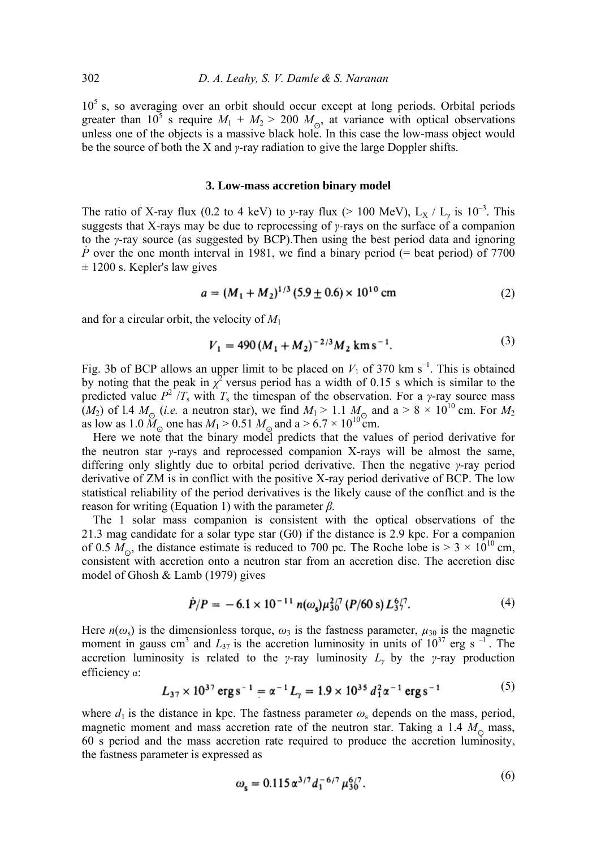$10<sup>5</sup>$  s, so averaging over an orbit should occur except at long periods. Orbital periods greater than  $10^5$  s require  $M_1 + M_2 > 200$   $M_{\odot}$ , at variance with optical observations unless one of the objects is a massive black hole. In this case the low-mass object would be the source of both the X and *γ-*ray radiation to give the large Doppler shifts.

### **3. Low-mass accretion binary model**

The ratio of X-ray flux (0.2 to 4 keV) to *y*-ray flux (> 100 MeV),  $L_X / L_y$  is 10<sup>-3</sup>. This suggests that X-rays may be due to reprocessing of *γ-*rays on the surface of a companion to the *γ-*ray source (as suggested by BCP).Then using the best period data and ignoring *.P* over the one month interval in 1981, we find a binary period (= beat period) of 7700  $\pm$  1200 s. Kepler's law gives

$$
a = (M_1 + M_2)^{1/3} (5.9 \pm 0.6) \times 10^{10} \text{ cm}
$$
 (2)

and for a circular orbit, the velocity of *M*<sup>1</sup>

$$
V_1 = 490 (M_1 + M_2)^{-2/3} M_2 \text{ km s}^{-1}.
$$
 (3)

Fig. 3b of BCP allows an upper limit to be placed on  $V_1$  of 370 km s<sup>-1</sup>. This is obtained by noting that the peak in  $\chi^2$  versus period has a width of 0.15 s which is similar to the predicted value  $P^2/T_s$  with  $T_s$  the timespan of the observation. For a *γ*-ray source mass  $(M_2)$  of 1.4  $M_\odot$  (*i.e.* a neutron star), we find  $M_1 > 1.1$   $M_\odot$  and a > 8  $\times$  10<sup>10</sup> cm. For  $M_2$ as low as 1.0  $\hat{M}_{\odot}$  one has  $M_1 > 0.51$   $M_{\odot}$  and a  $> 6.7 \times 10^{10}$  cm.

Here we note that the binary model predicts that the values of period derivative for the neutron star *γ*-rays and reprocessed companion X-rays will be almost the same, differing only slightly due to orbital period derivative. Then the negative *γ*-ray period derivative of ZM is in conflict with the positive X-ray period derivative of BCP. The low statistical reliability of the period derivatives is the likely cause of the conflict and is the reason for writing (Equation 1) with the parameter *β.*

The 1 solar mass companion is consistent with the optical observations of the 21.3 mag candidate for a solar type star (G0) if the distance is 2.9 kpc. For a companion of 0.5  $M_{\odot}$ , the distance estimate is reduced to 700 pc. The Roche lobe is  $> 3 \times 10^{10}$  cm, consistent with accretion onto a neutron star from an accretion disc. The accretion disc model of Ghosh & Lamb (1979) gives

$$
\dot{P}/P = -6.1 \times 10^{-11} n(\omega_e) \mu_{30}^{2/7} (P/60 \text{ s}) L_3^{6/7}.
$$
 (4)

Here  $n(\omega_s)$  is the dimensionless torque,  $\omega_3$  is the fastness parameter,  $\mu_{30}$  is the magnetic moment in gauss cm<sup>3</sup> and  $L_{37}$  is the accretion luminosity in units of  $10^{37}$  erg s<sup>-1</sup>. The accretion luminosity is related to the *γ-*ray luminosity *L<sup>γ</sup>* by the *γ*-ray production efficiency α:

$$
L_{37} \times 10^{37} \text{ erg s}^{-1} = \alpha^{-1} L_y = 1.9 \times 10^{35} d_1^2 \alpha^{-1} \text{ erg s}^{-1}
$$
 (5)

where  $d_1$  is the distance in kpc. The fastness parameter  $\omega_s$  depends on the mass, period, magnetic moment and mass accretion rate of the neutron star. Taking a 1.4  $M_{\odot}$  mass, 60 s period and the mass accretion rate required to produce the accretion luminosity, the fastness parameter is expressed as

$$
\omega_{\rm s} = 0.115 \,\alpha^{3/7} \, d_1^{-6/7} \, \mu_{30}^{6/7} \,. \tag{0}
$$

 $\sqrt{6}$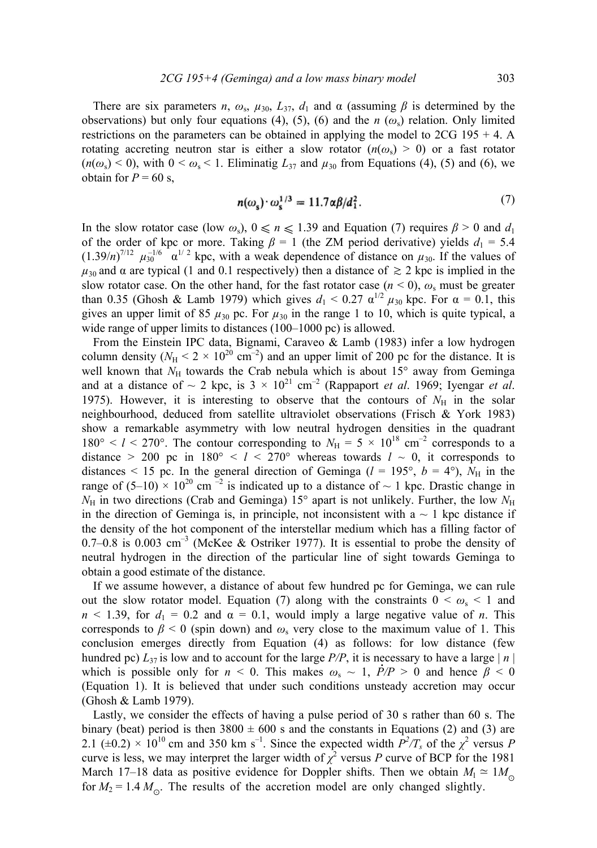There are six parameters *n*,  $\omega_s$ ,  $\mu_{30}$ ,  $L_{37}$ ,  $d_1$  and  $\alpha$  (assuming  $\beta$  is determined by the observations) but only four equations (4), (5), (6) and the *n* ( $\omega$ <sub>s</sub>) relation. Only limited restrictions on the parameters can be obtained in applying the model to  $2CG 195 + 4$ . A rotating accreting neutron star is either a slow rotator  $(n(\omega_s) > 0)$  or a fast rotator  $(n(\omega_s) < 0)$ , with  $0 < \omega_s < 1$ . Eliminatig  $L_{37}$  and  $\mu_{30}$  from Equations (4), (5) and (6), we obtain for  $P = 60$  s,

$$
n(\omega_s) \cdot \omega_s^{1/3} = 11.7 \alpha \beta / d_1^2. \tag{7}
$$

In the slow rotator case (low  $\omega_s$ ),  $0 \le n \le 1.39$  and Equation (7) requires  $\beta > 0$  and  $d_1$ of the order of kpc or more. Taking  $\beta = 1$  (the ZM period derivative) yields  $d_1 = 5.4$  $(1.39/n)^{7/12}$   $\mu_{30}^{-1/6}$   $\alpha^{1/2}$  kpc, with a weak dependence of distance on  $\mu_{30}$ . If the values of  $\mu_{30}$  and  $\alpha$  are typical (1 and 0.1 respectively) then a distance of  $\gtrsim$  2 kpc is implied in the slow rotator case. On the other hand, for the fast rotator case  $(n < 0)$ ,  $\omega_s$  must be greater than 0.35 (Ghosh & Lamb 1979) which gives  $d_1 < 0.27 \alpha^{1/2} \mu_{30}$  kpc. For  $\alpha = 0.1$ , this gives an upper limit of 85  $\mu_{30}$  pc. For  $\mu_{30}$  in the range 1 to 10, which is quite typical, a wide range of upper limits to distances (100–1000 pc) is allowed.

From the Einstein IPC data, Bignami, Caraveo & Lamb (1983) infer a low hydrogen column density  $(N_H < 2 \times 10^{20} \text{ cm}^{-2})$  and an upper limit of 200 pc for the distance. It is well known that  $N_H$  towards the Crab nebula which is about  $15^{\circ}$  away from Geminga and at a distance of  $\sim 2$  kpc, is  $3 \times 10^{21}$  cm<sup>-2</sup> (Rappaport *et al.* 1969; Ivengar *et al.* 1975). However, it is interesting to observe that the contours of  $N_{\rm H}$  in the solar neighbourhood, deduced from satellite ultraviolet observations (Frisch & York 1983) show a remarkable asymmetry with low neutral hydrogen densities in the quadrant  $180^\circ < l < 270^\circ$ . The contour corresponding to  $N_H = 5 \times 10^{18}$  cm<sup>-2</sup> corresponds to a distance  $> 200$  pc in  $180^{\circ} < l < 270^{\circ}$  whereas towards  $l \sim 0$ , it corresponds to distances < 15 pc. In the general direction of Geminga ( $l = 195^\circ$ ,  $b = 4^\circ$ ),  $N_H$  in the range of  $(5-10) \times 10^{20}$  cm  $^{-2}$  is indicated up to a distance of  $\sim 1$  kpc. Drastic change in  $N_{\rm H}$  in two directions (Crab and Geminga) 15° apart is not unlikely. Further, the low  $N_{\rm H}$ in the direction of Geminga is, in principle, not inconsistent with  $a \sim 1$  kpc distance if the density of the hot component of the interstellar medium which has a filling factor of 0.7–0.8 is 0.003 cm<sup>-3</sup> (McKee & Ostriker 1977). It is essential to probe the density of neutral hydrogen in the direction of the particular line of sight towards Geminga to obtain a good estimate of the distance.

If we assume however, a distance of about few hundred pc for Geminga, we can rule out the slow rotator model. Equation (7) along with the constraints  $0 < \omega_s < 1$  and  $n < 1.39$ , for  $d_1 = 0.2$  and  $\alpha = 0.1$ , would imply a large negative value of *n*. This corresponds to  $\beta$  < 0 (spin down) and  $\omega_s$  very close to the maximum value of 1. This conclusion emerges directly from Equation (4) as follows: for low distance (few hundred pc)  $L_{37}$  is low and to account for the large *P/P*, it is necessary to have a large  $|n|$ which is possible only for  $n < 0$ . This makes  $\omega_s \sim 1$ ,  $\dot{P}/P > 0$  and hence  $\beta < 0$ (Equation 1). It is believed that under such conditions unsteady accretion may occur (Ghosh & Lamb 1979).

Lastly, we consider the effects of having a pulse period of 30 s rather than 60 s. The binary (beat) period is then  $3800 \pm 600$  s and the constants in Equations (2) and (3) are 2.1 ( $\pm$ 0.2) × 10<sup>10</sup> cm and 350 km s<sup>-1</sup>. Since the expected width  $P^2/T_s$  of the  $\chi^2$  versus *P* curve is less, we may interpret the larger width of  $\chi^2$  versus *P* curve of BCP for the 1981 March 17–18 data as positive evidence for Doppler shifts. Then we obtain  $M_1 \simeq 1 M_{\odot}$ for  $M_2 = 1.4 M_{\odot}$ . The results of the accretion model are only changed slightly.